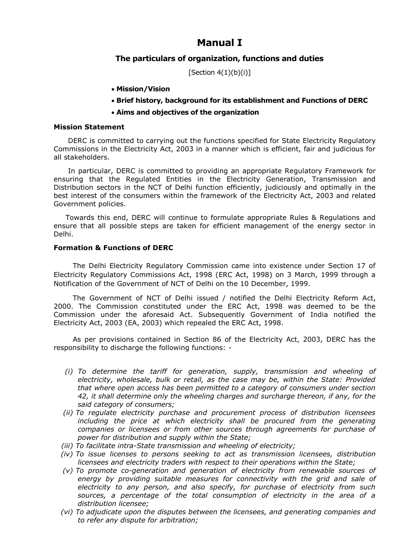# **Manual I**

## **The particulars of organization, functions and duties**

[Section  $4(1)(b)(i)$ ]

- **Mission/Vision**
- **Brief history, background for its establishment and Functions of DERC**
- **Aims and objectives of the organization**

#### **Mission Statement**

 DERC is committed to carrying out the functions specified for State Electricity Regulatory Commissions in the Electricity Act, 2003 in a manner which is efficient, fair and judicious for all stakeholders.

 In particular, DERC is committed to providing an appropriate Regulatory Framework for ensuring that the Regulated Entities in the Electricity Generation, Transmission and Distribution sectors in the NCT of Delhi function efficiently, judiciously and optimally in the best interest of the consumers within the framework of the Electricity Act, 2003 and related Government policies.

 Towards this end, DERC will continue to formulate appropriate Rules & Regulations and ensure that all possible steps are taken for efficient management of the energy sector in Delhi.

#### **Formation & Functions of DERC**

 The Delhi Electricity Regulatory Commission came into existence under Section 17 of Electricity Regulatory Commissions Act, 1998 (ERC Act, 1998) on 3 March, 1999 through a Notification of the Government of NCT of Delhi on the 10 December, 1999.

 The Government of NCT of Delhi issued / notified the Delhi Electricity Reform Act, 2000. The Commission constituted under the ERC Act, 1998 was deemed to be the Commission under the aforesaid Act. Subsequently Government of India notified the Electricity Act, 2003 (EA, 2003) which repealed the ERC Act, 1998.

 As per provisions contained in Section 86 of the Electricity Act, 2003, DERC has the responsibility to discharge the following functions: -

- *(i) To determine the tariff for generation, supply, transmission and wheeling of electricity, wholesale, bulk or retail, as the case may be, within the State: Provided that where open access has been permitted to a category of consumers under section 42, it shall determine only the wheeling charges and surcharge thereon, if any, for the said category of consumers;*
- *(ii) To regulate electricity purchase and procurement process of distribution licensees including the price at which electricity shall be procured from the generating companies or licensees or from other sources through agreements for purchase of power for distribution and supply within the State;*
- *(iii) To facilitate intra-State transmission and wheeling of electricity;*
- *(iv) To issue licenses to persons seeking to act as transmission licensees, distribution licensees and electricity traders with respect to their operations within the State;*
- *(v) To promote co-generation and generation of electricity from renewable sources of energy by providing suitable measures for connectivity with the grid and sale of electricity to any person, and also specify, for purchase of electricity from such sources, a percentage of the total consumption of electricity in the area of a distribution licensee;*
- *(vi) To adjudicate upon the disputes between the licensees, and generating companies and to refer any dispute for arbitration;*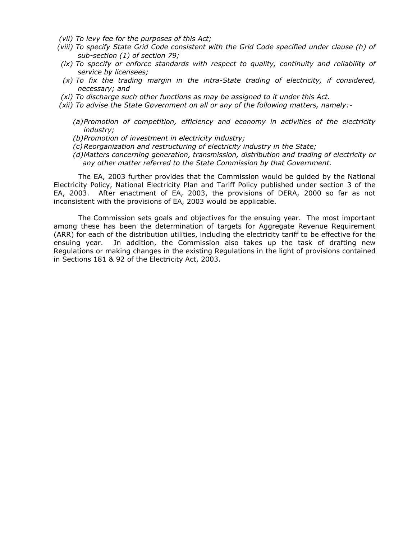- *(vii) To levy fee for the purposes of this Act;*
- *(viii) To specify State Grid Code consistent with the Grid Code specified under clause (h) of sub-section (1) of section 79;*
- *(ix) To specify or enforce standards with respect to quality, continuity and reliability of service by licensees;*
- *(x) To fix the trading margin in the intra-State trading of electricity, if considered, necessary; and*
- *(xi) To discharge such other functions as may be assigned to it under this Act.*
- *(xii) To advise the State Government on all or any of the following matters, namely:-*
	- *(a)Promotion of competition, efficiency and economy in activities of the electricity industry;*
	- *(b)Promotion of investment in electricity industry;*
	- *(c)Reorganization and restructuring of electricity industry in the State;*
	- *(d)Matters concerning generation, transmission, distribution and trading of electricity or any other matter referred to the State Commission by that Government.*

The EA, 2003 further provides that the Commission would be guided by the National Electricity Policy, National Electricity Plan and Tariff Policy published under section 3 of the EA, 2003. After enactment of EA, 2003, the provisions of DERA, 2000 so far as not inconsistent with the provisions of EA, 2003 would be applicable.

The Commission sets goals and objectives for the ensuing year. The most important among these has been the determination of targets for Aggregate Revenue Requirement (ARR) for each of the distribution utilities, including the electricity tariff to be effective for the ensuing year. In addition, the Commission also takes up the task of drafting new Regulations or making changes in the existing Regulations in the light of provisions contained in Sections 181 & 92 of the Electricity Act, 2003.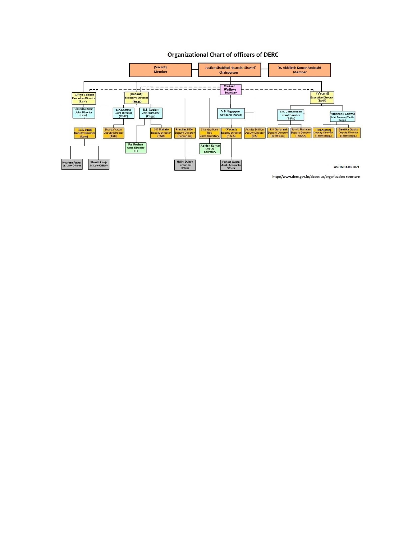#### **Organizational Chart of officers of DERC**



http://www.derc.gov.in/about-us/organization-structure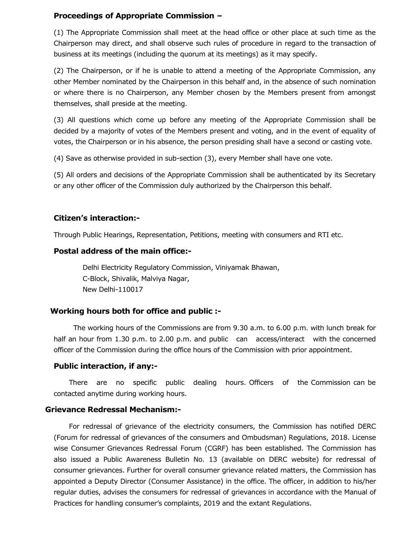## **Proceedings of Appropriate Commission –**

(1) The Appropriate Commission shall meet at the head office or other place at such time as the Chairperson may direct, and shall observe such rules of procedure in regard to the transaction of business at its meetings (including the quorum at its meetings) as it may specify.

(2) The Chairperson, or if he is unable to attend a meeting of the Appropriate Commission, any other Member nominated by the Chairperson in this behalf and, in the absence of such nomination or where there is no Chairperson, any Member chosen by the Members present from amongst themselves, shall preside at the meeting.

(3) All questions which come up before any meeting of the Appropriate Commission shall be decided by a majority of votes of the Members present and voting, and in the event of equality of votes, the Chairperson or in his absence, the person presiding shall have a second or casting vote.

(4) Save as otherwise provided in sub-section (3), every Member shall have one vote.

(5) All orders and decisions of the Appropriate Commission shall be authenticated by its Secretary or any other officer of the Commission duly authorized by the Chairperson this behalf.

## **Citizen's interaction:-**

Through Public Hearings, Representation, Petitions, meeting with consumers and RTI etc.

# **Postal address of the main office:-**

Delhi Electricity Regulatory Commission, Viniyamak Bhawan, C-Block, Shivalik, Malviya Nagar, New Delhi-110017

# **Working hours both for office and public :-**

 The working hours of the Commissions are from 9.30 a.m. to 6.00 p.m. with lunch break for half an hour from 1.30 p.m. to 2.00 p.m. and public can access/interact with the concerned officer of the Commission during the office hours of the Commission with prior appointment.

## **Public interaction, if any:-**

 There are no specific public dealing hours. Officers of the Commission can be contacted anytime during working hours.

## **Grievance Redressal Mechanism:-**

 For redressal of grievance of the electricity consumers, the Commission has notified DERC (Forum for redressal of grievances of the consumers and Ombudsman) Regulations, 2018. License wise Consumer Grievances Redressal Forum (CGRF) has been established. The Commission has also issued a Public Awareness Bulletin No. 13 (available on DERC website) for redressal of consumer grievances. Further for overall consumer grievance related matters, the Commission has appointed a Deputy Director (Consumer Assistance) in the office. The officer, in addition to his/her regular duties, advises the consumers for redressal of grievances in accordance with the Manual of Practices for handling consumer's complaints, 2019 and the extant Regulations.